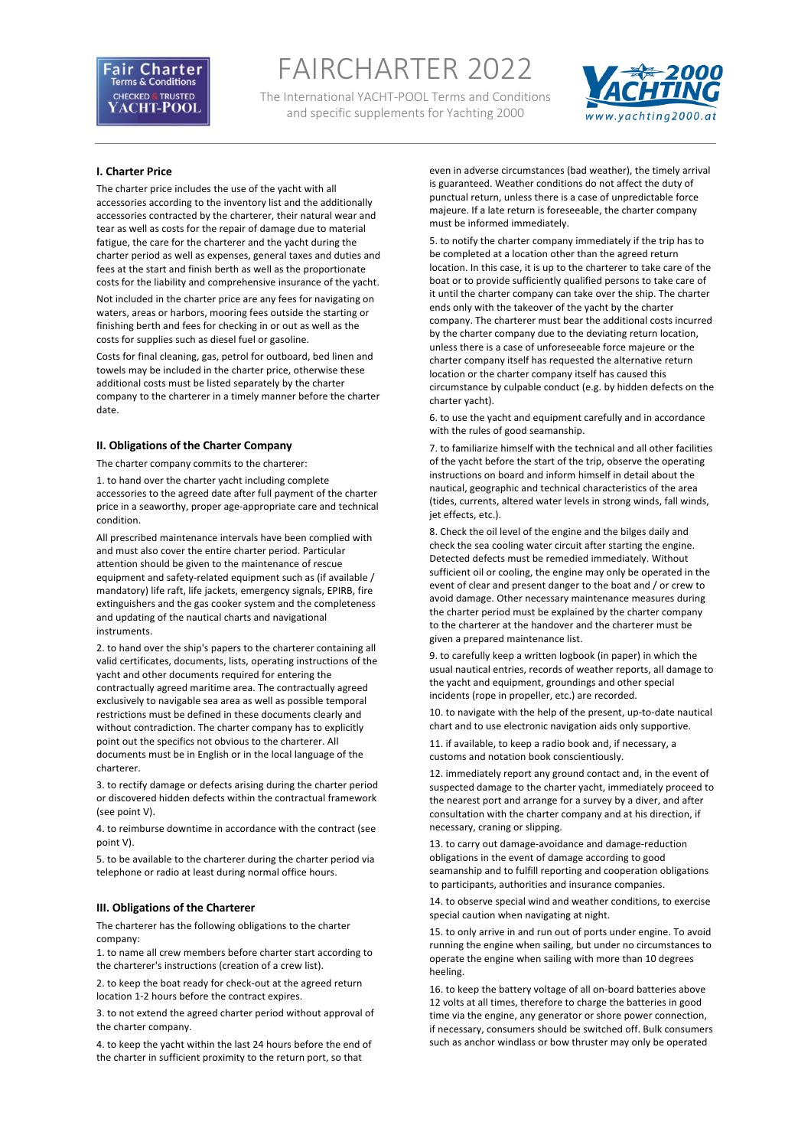FAIRCHARTER 2022

The International YACHT-POOL Terms and Conditions and specific supplements for Yachting 2000



# **I. Charter Price**

The charter price includes the use of the yacht with all accessories according to the inventory list and the additionally accessories contracted by the charterer, their natural wear and tear as well as costs for the repair of damage due to material fatigue, the care for the charterer and the yacht during the charter period as well as expenses, general taxes and duties and fees at the start and finish berth as well as the proportionate costs for the liability and comprehensive insurance of the yacht.

Not included in the charter price are any fees for navigating on waters, areas or harbors, mooring fees outside the starting or finishing berth and fees for checking in or out as well as the costs for supplies such as diesel fuel or gasoline.

Costs for final cleaning, gas, petrol for outboard, bed linen and towels may be included in the charter price, otherwise these additional costs must be listed separately by the charter company to the charterer in a timely manner before the charter date.

# **II. Obligations of the Charter Company**

The charter company commits to the charterer:

1. to hand over the charter yacht including complete accessories to the agreed date after full payment of the charter price in a seaworthy, proper age-appropriate care and technical condition.

All prescribed maintenance intervals have been complied with and must also cover the entire charter period. Particular attention should be given to the maintenance of rescue equipment and safety-related equipment such as (if available / mandatory) life raft, life jackets, emergency signals, EPIRB, fire extinguishers and the gas cooker system and the completeness and updating of the nautical charts and navigational instruments.

2. to hand over the ship's papers to the charterer containing all valid certificates, documents, lists, operating instructions of the yacht and other documents required for entering the contractually agreed maritime area. The contractually agreed exclusively to navigable sea area as well as possible temporal restrictions must be defined in these documents clearly and without contradiction. The charter company has to explicitly point out the specifics not obvious to the charterer. All documents must be in English or in the local language of the charterer.

3. to rectify damage or defects arising during the charter period or discovered hidden defects within the contractual framework (see point V).

4. to reimburse downtime in accordance with the contract (see point V).

5. to be available to the charterer during the charter period via telephone or radio at least during normal office hours.

### **III. Obligations of the Charterer**

The charterer has the following obligations to the charter company:

1. to name all crew members before charter start according to the charterer's instructions (creation of a crew list).

2. to keep the boat ready for check-out at the agreed return location 1-2 hours before the contract expires.

3. to not extend the agreed charter period without approval of the charter company.

4. to keep the yacht within the last 24 hours before the end of the charter in sufficient proximity to the return port, so that

even in adverse circumstances (bad weather), the timely arrival is guaranteed. Weather conditions do not affect the duty of punctual return, unless there is a case of unpredictable force majeure. If a late return is foreseeable, the charter company must be informed immediately.

5. to notify the charter company immediately if the trip has to be completed at a location other than the agreed return location. In this case, it is up to the charterer to take care of the boat or to provide sufficiently qualified persons to take care of it until the charter company can take over the ship. The charter ends only with the takeover of the yacht by the charter company. The charterer must bear the additional costs incurred by the charter company due to the deviating return location, unless there is a case of unforeseeable force majeure or the charter company itself has requested the alternative return location or the charter company itself has caused this circumstance by culpable conduct (e.g. by hidden defects on the charter yacht).

6. to use the yacht and equipment carefully and in accordance with the rules of good seamanship.

7. to familiarize himself with the technical and all other facilities of the yacht before the start of the trip, observe the operating instructions on board and inform himself in detail about the nautical, geographic and technical characteristics of the area (tides, currents, altered water levels in strong winds, fall winds, jet effects, etc.).

8. Check the oil level of the engine and the bilges daily and check the sea cooling water circuit after starting the engine. Detected defects must be remedied immediately. Without sufficient oil or cooling, the engine may only be operated in the event of clear and present danger to the boat and / or crew to avoid damage. Other necessary maintenance measures during the charter period must be explained by the charter company to the charterer at the handover and the charterer must be given a prepared maintenance list.

9. to carefully keep a written logbook (in paper) in which the usual nautical entries, records of weather reports, all damage to the yacht and equipment, groundings and other special incidents (rope in propeller, etc.) are recorded.

10. to navigate with the help of the present, up-to-date nautical chart and to use electronic navigation aids only supportive.

11. if available, to keep a radio book and, if necessary, a customs and notation book conscientiously.

12. immediately report any ground contact and, in the event of suspected damage to the charter yacht, immediately proceed to the nearest port and arrange for a survey by a diver, and after consultation with the charter company and at his direction, if necessary, craning or slipping.

13. to carry out damage-avoidance and damage-reduction obligations in the event of damage according to good seamanship and to fulfill reporting and cooperation obligations to participants, authorities and insurance companies.

14. to observe special wind and weather conditions, to exercise special caution when navigating at night.

15. to only arrive in and run out of ports under engine. To avoid running the engine when sailing, but under no circumstances to operate the engine when sailing with more than 10 degrees heeling.

16. to keep the battery voltage of all on-board batteries above 12 volts at all times, therefore to charge the batteries in good time via the engine, any generator or shore power connection, if necessary, consumers should be switched off. Bulk consumers such as anchor windlass or bow thruster may only be operated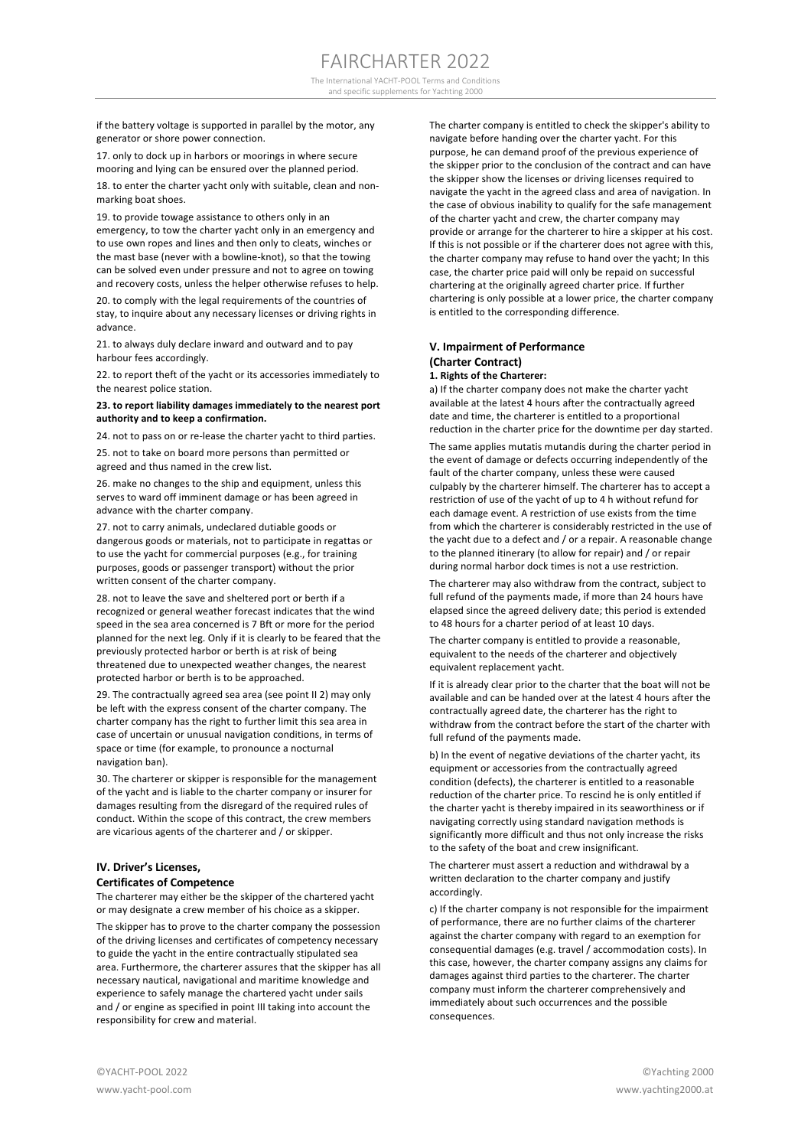The International YACHT-POOL Terms and Conditions and specific supplements for Yachting 2000

if the battery voltage is supported in parallel by the motor, any generator or shore power connection.

17. only to dock up in harbors or moorings in where secure mooring and lying can be ensured over the planned period.

18. to enter the charter yacht only with suitable, clean and nonmarking boat shoes.

19. to provide towage assistance to others only in an emergency, to tow the charter yacht only in an emergency and to use own ropes and lines and then only to cleats, winches or the mast base (never with a bowline-knot), so that the towing can be solved even under pressure and not to agree on towing and recovery costs, unless the helper otherwise refuses to help.

20. to comply with the legal requirements of the countries of stay, to inquire about any necessary licenses or driving rights in advance.

21. to always duly declare inward and outward and to pay harbour fees accordingly.

22. to report theft of the yacht or its accessories immediately to the nearest police station.

#### **23. to report liability damages immediately to the nearest port authority and to keep a confirmation.**

24. not to pass on or re-lease the charter yacht to third parties.

25. not to take on board more persons than permitted or agreed and thus named in the crew list.

26. make no changes to the ship and equipment, unless this serves to ward off imminent damage or has been agreed in advance with the charter company.

27. not to carry animals, undeclared dutiable goods or dangerous goods or materials, not to participate in regattas or to use the yacht for commercial purposes (e.g., for training purposes, goods or passenger transport) without the prior written consent of the charter company.

28. not to leave the save and sheltered port or berth if a recognized or general weather forecast indicates that the wind speed in the sea area concerned is 7 Bft or more for the period planned for the next leg. Only if it is clearly to be feared that the previously protected harbor or berth is at risk of being threatened due to unexpected weather changes, the nearest protected harbor or berth is to be approached.

29. The contractually agreed sea area (see point II 2) may only be left with the express consent of the charter company. The charter company has the right to further limit this sea area in case of uncertain or unusual navigation conditions, in terms of space or time (for example, to pronounce a nocturnal navigation ban).

30. The charterer or skipper is responsible for the management of the yacht and is liable to the charter company or insurer for damages resulting from the disregard of the required rules of conduct. Within the scope of this contract, the crew members are vicarious agents of the charterer and / or skipper.

# **IV. Driver's Licenses, Certificates of Competence**

The charterer may either be the skipper of the chartered yacht or may designate a crew member of his choice as a skipper.

The skipper has to prove to the charter company the possession of the driving licenses and certificates of competency necessary to guide the yacht in the entire contractually stipulated sea area. Furthermore, the charterer assures that the skipper has all necessary nautical, navigational and maritime knowledge and experience to safely manage the chartered yacht under sails and / or engine as specified in point III taking into account the responsibility for crew and material.

The charter company is entitled to check the skipper's ability to navigate before handing over the charter yacht. For this purpose, he can demand proof of the previous experience of the skipper prior to the conclusion of the contract and can have the skipper show the licenses or driving licenses required to navigate the yacht in the agreed class and area of navigation. In the case of obvious inability to qualify for the safe management of the charter yacht and crew, the charter company may provide or arrange for the charterer to hire a skipper at his cost. If this is not possible or if the charterer does not agree with this, the charter company may refuse to hand over the yacht; In this case, the charter price paid will only be repaid on successful chartering at the originally agreed charter price. If further chartering is only possible at a lower price, the charter company is entitled to the corresponding difference.

# **V. Impairment of Performance (Charter Contract) 1. Rights of the Charterer:**

a) If the charter company does not make the charter yacht available at the latest 4 hours after the contractually agreed date and time, the charterer is entitled to a proportional reduction in the charter price for the downtime per day started.

The same applies mutatis mutandis during the charter period in the event of damage or defects occurring independently of the fault of the charter company, unless these were caused culpably by the charterer himself. The charterer has to accept a restriction of use of the yacht of up to 4 h without refund for each damage event. A restriction of use exists from the time from which the charterer is considerably restricted in the use of the yacht due to a defect and / or a repair. A reasonable change to the planned itinerary (to allow for repair) and / or repair during normal harbor dock times is not a use restriction.

The charterer may also withdraw from the contract, subject to full refund of the payments made, if more than 24 hours have elapsed since the agreed delivery date; this period is extended to 48 hours for a charter period of at least 10 days.

The charter company is entitled to provide a reasonable, equivalent to the needs of the charterer and objectively equivalent replacement yacht.

If it is already clear prior to the charter that the boat will not be available and can be handed over at the latest 4 hours after the contractually agreed date, the charterer has the right to withdraw from the contract before the start of the charter with full refund of the payments made.

b) In the event of negative deviations of the charter yacht, its equipment or accessories from the contractually agreed condition (defects), the charterer is entitled to a reasonable reduction of the charter price. To rescind he is only entitled if the charter yacht is thereby impaired in its seaworthiness or if navigating correctly using standard navigation methods is significantly more difficult and thus not only increase the risks to the safety of the boat and crew insignificant.

The charterer must assert a reduction and withdrawal by a written declaration to the charter company and justify accordingly.

c) If the charter company is not responsible for the impairment of performance, there are no further claims of the charterer against the charter company with regard to an exemption for consequential damages (e.g. travel / accommodation costs). In this case, however, the charter company assigns any claims for damages against third parties to the charterer. The charter company must inform the charterer comprehensively and immediately about such occurrences and the possible consequences.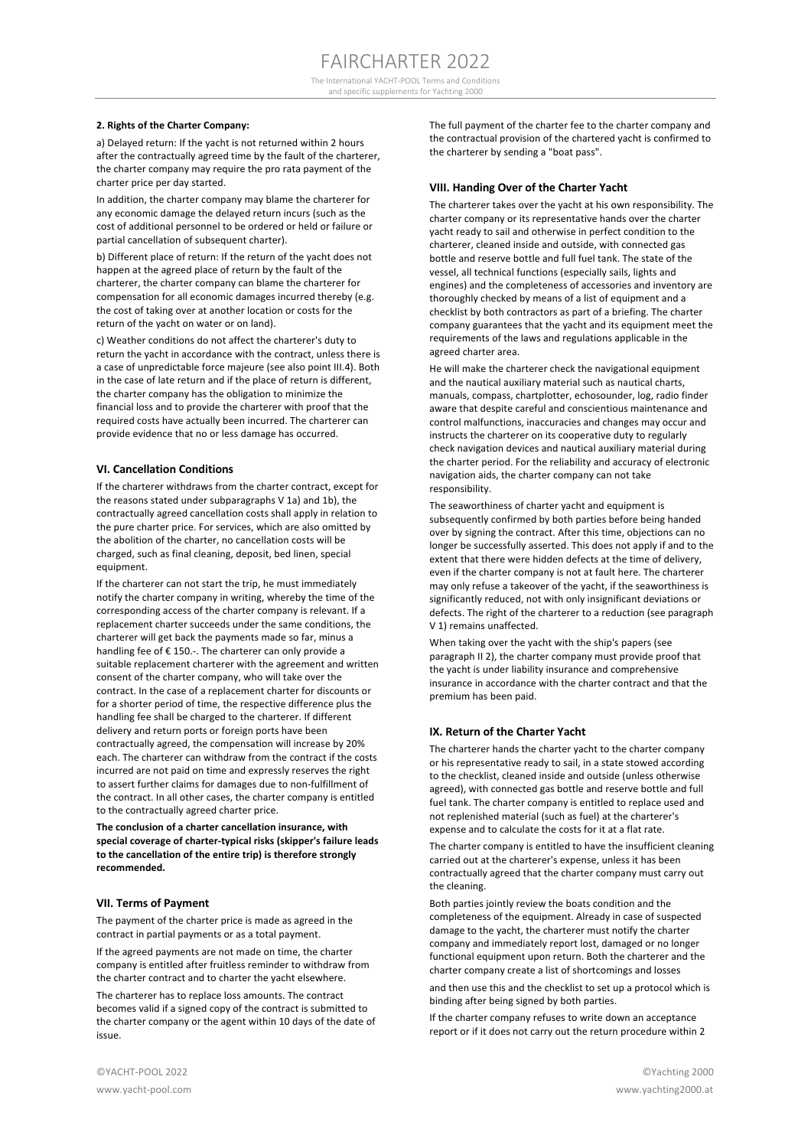#### **2. Rights of the Charter Company:**

a) Delayed return: If the yacht is not returned within 2 hours after the contractually agreed time by the fault of the charterer, the charter company may require the pro rata payment of the charter price per day started.

In addition, the charter company may blame the charterer for any economic damage the delayed return incurs (such as the cost of additional personnel to be ordered or held or failure or partial cancellation of subsequent charter).

b) Different place of return: If the return of the yacht does not happen at the agreed place of return by the fault of the charterer, the charter company can blame the charterer for compensation for all economic damages incurred thereby (e.g. the cost of taking over at another location or costs for the return of the yacht on water or on land).

c) Weather conditions do not affect the charterer's duty to return the yacht in accordance with the contract, unless there is a case of unpredictable force majeure (see also point III.4). Both in the case of late return and if the place of return is different, the charter company has the obligation to minimize the financial loss and to provide the charterer with proof that the required costs have actually been incurred. The charterer can provide evidence that no or less damage has occurred.

# **VI. Cancellation Conditions**

If the charterer withdraws from the charter contract, except for the reasons stated under subparagraphs V 1a) and 1b), the contractually agreed cancellation costs shall apply in relation to the pure charter price. For services, which are also omitted by the abolition of the charter, no cancellation costs will be charged, such as final cleaning, deposit, bed linen, special equipment.

If the charterer can not start the trip, he must immediately notify the charter company in writing, whereby the time of the corresponding access of the charter company is relevant. If a replacement charter succeeds under the same conditions, the charterer will get back the payments made so far, minus a handling fee of € 150.-. The charterer can only provide a suitable replacement charterer with the agreement and written consent of the charter company, who will take over the contract. In the case of a replacement charter for discounts or for a shorter period of time, the respective difference plus the handling fee shall be charged to the charterer. If different delivery and return ports or foreign ports have been contractually agreed, the compensation will increase by 20% each. The charterer can withdraw from the contract if the costs incurred are not paid on time and expressly reserves the right to assert further claims for damages due to non-fulfillment of the contract. In all other cases, the charter company is entitled to the contractually agreed charter price.

**The conclusion of a charter cancellation insurance, with special coverage of charter-typical risks (skipper's failure leads to the cancellation of the entire trip) is therefore strongly recommended.** 

# **VII. Terms of Payment**

The payment of the charter price is made as agreed in the contract in partial payments or as a total payment.

If the agreed payments are not made on time, the charter company is entitled after fruitless reminder to withdraw from the charter contract and to charter the yacht elsewhere.

The charterer has to replace loss amounts. The contract becomes valid if a signed copy of the contract is submitted to the charter company or the agent within 10 days of the date of issue.

The full payment of the charter fee to the charter company and the contractual provision of the chartered yacht is confirmed to the charterer by sending a "boat pass".

# **VIII. Handing Over of the Charter Yacht**

The charterer takes over the yacht at his own responsibility. The charter company or its representative hands over the charter yacht ready to sail and otherwise in perfect condition to the charterer, cleaned inside and outside, with connected gas bottle and reserve bottle and full fuel tank. The state of the vessel, all technical functions (especially sails, lights and engines) and the completeness of accessories and inventory are thoroughly checked by means of a list of equipment and a checklist by both contractors as part of a briefing. The charter company guarantees that the yacht and its equipment meet the requirements of the laws and regulations applicable in the agreed charter area.

He will make the charterer check the navigational equipment and the nautical auxiliary material such as nautical charts, manuals, compass, chartplotter, echosounder, log, radio finder aware that despite careful and conscientious maintenance and control malfunctions, inaccuracies and changes may occur and instructs the charterer on its cooperative duty to regularly check navigation devices and nautical auxiliary material during the charter period. For the reliability and accuracy of electronic navigation aids, the charter company can not take responsibility.

The seaworthiness of charter yacht and equipment is subsequently confirmed by both parties before being handed over by signing the contract. After this time, objections can no longer be successfully asserted. This does not apply if and to the extent that there were hidden defects at the time of delivery, even if the charter company is not at fault here. The charterer may only refuse a takeover of the yacht, if the seaworthiness is significantly reduced, not with only insignificant deviations or defects. The right of the charterer to a reduction (see paragraph V 1) remains unaffected.

When taking over the yacht with the ship's papers (see paragraph II 2), the charter company must provide proof that the yacht is under liability insurance and comprehensive insurance in accordance with the charter contract and that the premium has been paid.

## **IX. Return of the Charter Yacht**

The charterer hands the charter yacht to the charter company or his representative ready to sail, in a state stowed according to the checklist, cleaned inside and outside (unless otherwise agreed), with connected gas bottle and reserve bottle and full fuel tank. The charter company is entitled to replace used and not replenished material (such as fuel) at the charterer's expense and to calculate the costs for it at a flat rate.

The charter company is entitled to have the insufficient cleaning carried out at the charterer's expense, unless it has been contractually agreed that the charter company must carry out the cleaning.

Both parties jointly review the boats condition and the completeness of the equipment. Already in case of suspected damage to the yacht, the charterer must notify the charter company and immediately report lost, damaged or no longer functional equipment upon return. Both the charterer and the charter company create a list of shortcomings and losses

and then use this and the checklist to set up a protocol which is binding after being signed by both parties.

If the charter company refuses to write down an acceptance report or if it does not carry out the return procedure within 2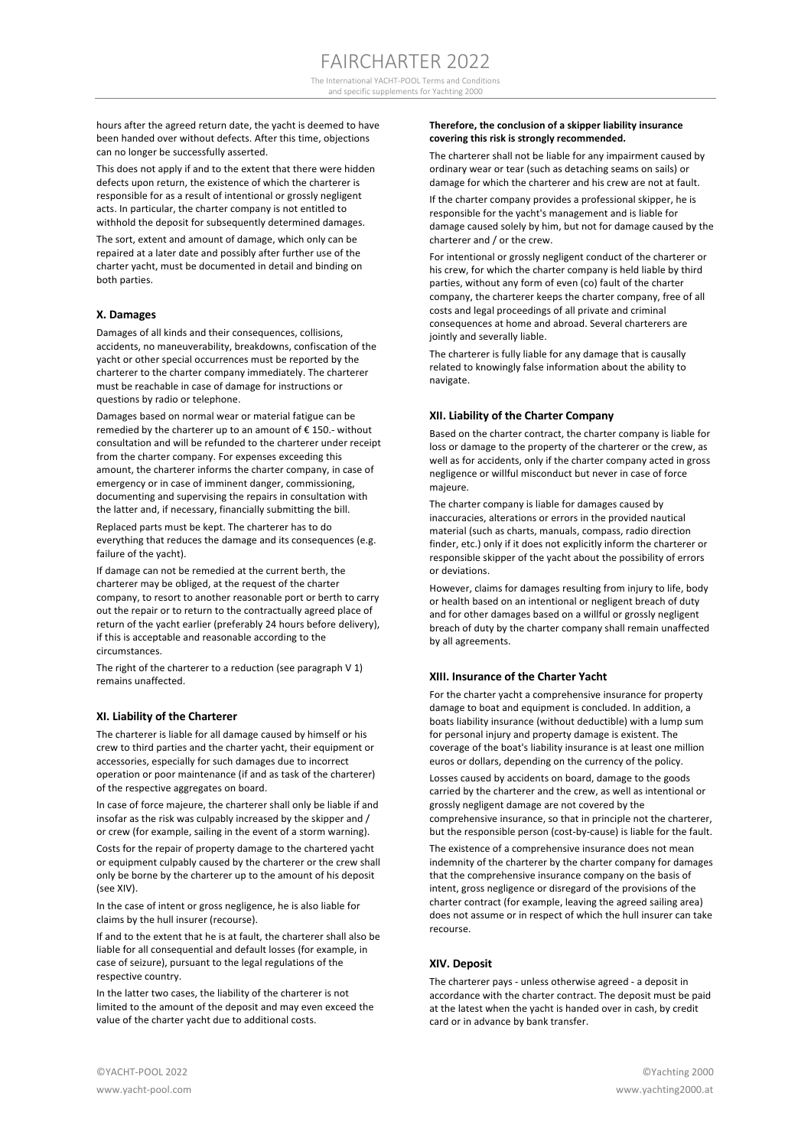The International YACHT-POOL Terms and Conditions and specific supplements for Yachting 2000

hours after the agreed return date, the yacht is deemed to have been handed over without defects. After this time, objections can no longer be successfully asserted.

This does not apply if and to the extent that there were hidden defects upon return, the existence of which the charterer is responsible for as a result of intentional or grossly negligent acts. In particular, the charter company is not entitled to withhold the deposit for subsequently determined damages.

The sort, extent and amount of damage, which only can be repaired at a later date and possibly after further use of the charter yacht, must be documented in detail and binding on both parties.

## **X. Damages**

Damages of all kinds and their consequences, collisions, accidents, no maneuverability, breakdowns, confiscation of the yacht or other special occurrences must be reported by the charterer to the charter company immediately. The charterer must be reachable in case of damage for instructions or questions by radio or telephone.

Damages based on normal wear or material fatigue can be remedied by the charterer up to an amount of € 150.- without consultation and will be refunded to the charterer under receipt from the charter company. For expenses exceeding this amount, the charterer informs the charter company, in case of emergency or in case of imminent danger, commissioning, documenting and supervising the repairs in consultation with the latter and, if necessary, financially submitting the bill.

Replaced parts must be kept. The charterer has to do everything that reduces the damage and its consequences (e.g. failure of the yacht).

If damage can not be remedied at the current berth, the charterer may be obliged, at the request of the charter company, to resort to another reasonable port or berth to carry out the repair or to return to the contractually agreed place of return of the yacht earlier (preferably 24 hours before delivery), if this is acceptable and reasonable according to the circumstances.

The right of the charterer to a reduction (see paragraph V 1) remains unaffected.

# **XI. Liability of the Charterer**

The charterer is liable for all damage caused by himself or his crew to third parties and the charter yacht, their equipment or accessories, especially for such damages due to incorrect operation or poor maintenance (if and as task of the charterer) of the respective aggregates on board.

In case of force majeure, the charterer shall only be liable if and insofar as the risk was culpably increased by the skipper and / or crew (for example, sailing in the event of a storm warning).

Costs for the repair of property damage to the chartered yacht or equipment culpably caused by the charterer or the crew shall only be borne by the charterer up to the amount of his deposit (see XIV).

In the case of intent or gross negligence, he is also liable for claims by the hull insurer (recourse).

If and to the extent that he is at fault, the charterer shall also be liable for all consequential and default losses (for example, in case of seizure), pursuant to the legal regulations of the respective country.

In the latter two cases, the liability of the charterer is not limited to the amount of the deposit and may even exceed the value of the charter yacht due to additional costs.

# **Therefore, the conclusion of a skipper liability insurance covering this risk is strongly recommended.**

The charterer shall not be liable for any impairment caused by ordinary wear or tear (such as detaching seams on sails) or damage for which the charterer and his crew are not at fault.

If the charter company provides a professional skipper, he is responsible for the yacht's management and is liable for damage caused solely by him, but not for damage caused by the charterer and / or the crew.

For intentional or grossly negligent conduct of the charterer or his crew, for which the charter company is held liable by third parties, without any form of even (co) fault of the charter company, the charterer keeps the charter company, free of all costs and legal proceedings of all private and criminal consequences at home and abroad. Several charterers are jointly and severally liable.

The charterer is fully liable for any damage that is causally related to knowingly false information about the ability to navigate.

# **XII. Liability of the Charter Company**

Based on the charter contract, the charter company is liable for loss or damage to the property of the charterer or the crew, as well as for accidents, only if the charter company acted in gross negligence or willful misconduct but never in case of force majeure.

The charter company is liable for damages caused by inaccuracies, alterations or errors in the provided nautical material (such as charts, manuals, compass, radio direction finder, etc.) only if it does not explicitly inform the charterer or responsible skipper of the yacht about the possibility of errors or deviations.

However, claims for damages resulting from injury to life, body or health based on an intentional or negligent breach of duty and for other damages based on a willful or grossly negligent breach of duty by the charter company shall remain unaffected by all agreements.

## **XIII. Insurance of the Charter Yacht**

For the charter yacht a comprehensive insurance for property damage to boat and equipment is concluded. In addition, a boats liability insurance (without deductible) with a lump sum for personal injury and property damage is existent. The coverage of the boat's liability insurance is at least one million euros or dollars, depending on the currency of the policy.

Losses caused by accidents on board, damage to the goods carried by the charterer and the crew, as well as intentional or grossly negligent damage are not covered by the comprehensive insurance, so that in principle not the charterer, but the responsible person (cost-by-cause) is liable for the fault.

The existence of a comprehensive insurance does not mean indemnity of the charterer by the charter company for damages that the comprehensive insurance company on the basis of intent, gross negligence or disregard of the provisions of the charter contract (for example, leaving the agreed sailing area) does not assume or in respect of which the hull insurer can take recourse.

# **XIV. Deposit**

The charterer pays - unless otherwise agreed - a deposit in accordance with the charter contract. The deposit must be paid at the latest when the yacht is handed over in cash, by credit card or in advance by bank transfer.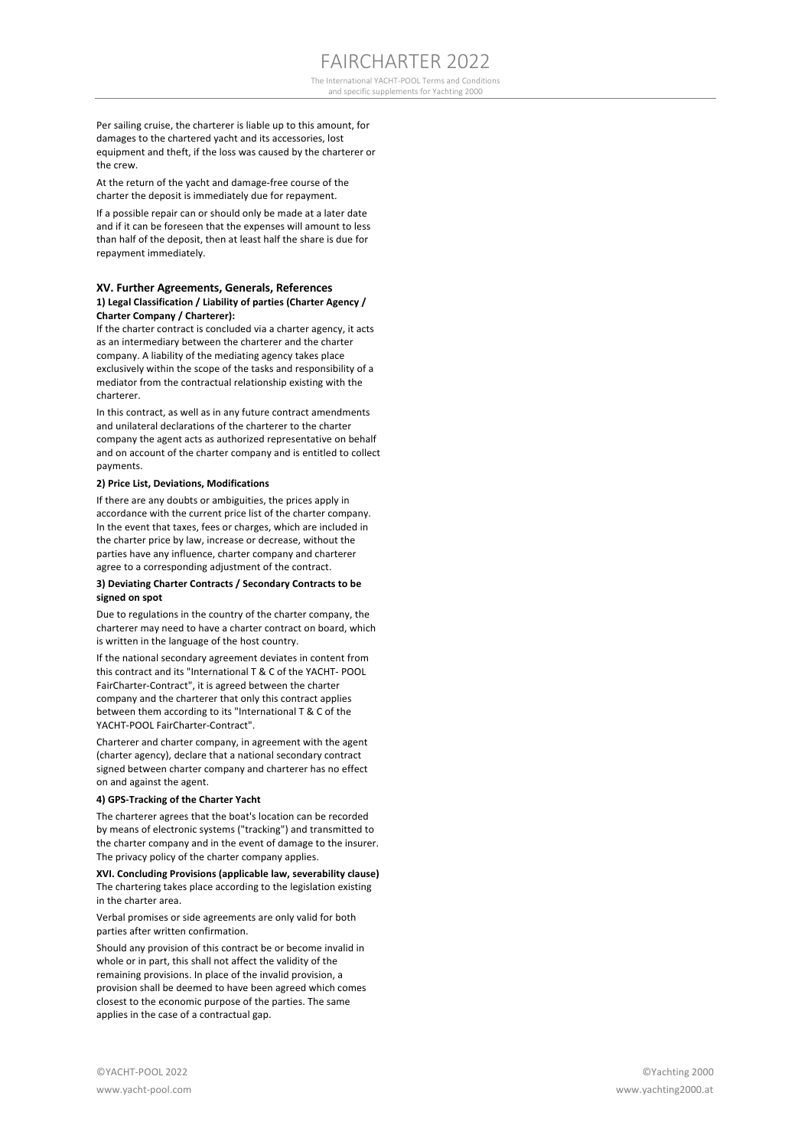The International YACHT-POOL Terms and Conditions and specific supplements for Yachting 2000

Per sailing cruise, the charterer is liable up to this amount, for damages to the chartered yacht and its accessories, lost equipment and theft, if the loss was caused by the charterer or the crew.

At the return of the yacht and damage-free course of the charter the deposit is immediately due for repayment.

If a possible repair can or should only be made at a later date and if it can be foreseen that the expenses will amount to less than half of the deposit, then at least half the share is due for repayment immediately.

# **XV. Further Agreements, Generals, References 1) Legal Classification / Liability of parties (Charter Agency / Charter Company / Charterer):**

If the charter contract is concluded via a charter agency, it acts as an intermediary between the charterer and the charter company. A liability of the mediating agency takes place exclusively within the scope of the tasks and responsibility of a mediator from the contractual relationship existing with the charterer.

In this contract, as well as in any future contract amendments and unilateral declarations of the charterer to the charter company the agent acts as authorized representative on behalf and on account of the charter company and is entitled to collect payments.

# **2) Price List, Deviations, Modifications**

If there are any doubts or ambiguities, the prices apply in accordance with the current price list of the charter company. In the event that taxes, fees or charges, which are included in the charter price by law, increase or decrease, without the parties have any influence, charter company and charterer agree to a corresponding adjustment of the contract.

#### **3) Deviating Charter Contracts / Secondary Contracts to be signed on spot**

Due to regulations in the country of the charter company, the charterer may need to have a charter contract on board, which is written in the language of the host country.

If the national secondary agreement deviates in content from this contract and its "International T & C of the YACHT- POOL FairCharter-Contract", it is agreed between the charter company and the charterer that only this contract applies between them according to its "International T & C of the YACHT-POOL FairCharter-Contract".

Charterer and charter company, in agreement with the agent (charter agency), declare that a national secondary contract signed between charter company and charterer has no effect on and against the agent.

## **4) GPS-Tracking of the Charter Yacht**

The charterer agrees that the boat's location can be recorded by means of electronic systems ("tracking") and transmitted to the charter company and in the event of damage to the insurer. The privacy policy of the charter company applies.

**XVI. Concluding Provisions (applicable law, severability clause)** The chartering takes place according to the legislation existing in the charter area.

Verbal promises or side agreements are only valid for both parties after written confirmation.

Should any provision of this contract be or become invalid in whole or in part, this shall not affect the validity of the remaining provisions. In place of the invalid provision, a provision shall be deemed to have been agreed which comes closest to the economic purpose of the parties. The same applies in the case of a contractual gap.